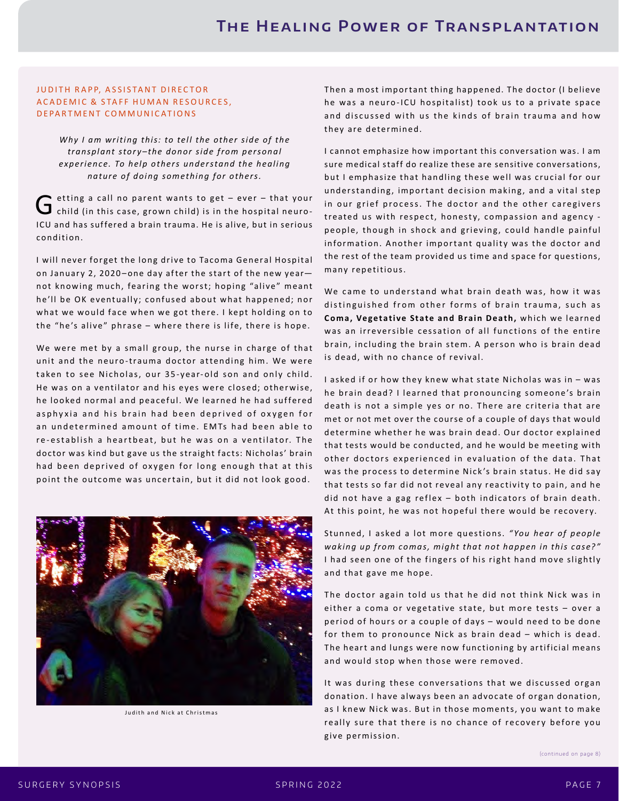## JUDITH RAPP, ASSISTANT DIRECTOR A CADEMIC & STAFF HUMAN RESOURCES, DEPARTMENT COMMUNICATIONS

*Why I am writing this: to tell the other side of the transplant story–the donor side from personal experience. To help others understand the healing nature of doing something for others.*

 $G$  etting a call no parent wants to get – ever – that your<br> $G$  child (in this case, grown child) is in the hospital neuro-ICU and has suffered a brain trauma. He is alive, but in serious condition.

I will never forget the long drive to Tacoma General Hospital on January 2, 2020–one day after the start of the new year not knowing much, fearing the worst; hoping "alive" meant he'll be OK eventually; confused about what happened; nor what we would face when we got there. I kept holding on to the "he's alive" phrase – where there is life, there is hope.

We were met by a small group, the nurse in charge of that unit and the neuro-trauma doctor attending him. We were taken to see Nicholas, our 35-year-old son and only child. He was on a ventilator and his eyes were closed; otherwise, he looked normal and peaceful. We learned he had suffered asphyxia and his brain had been deprived of oxygen for an undetermined amount of time. EMTs had been able to re-establish a heartbeat, but he was on a ventilator. The doctor was kind but gave us the straight facts: Nicholas' brain had been deprived of oxygen for long enough that at this point the outcome was uncertain, but it did not look good.



Judith and Nick at Christmas

Then a most important thing happened. The doctor (I believe he was a neuro-ICU hospitalist) took us to a private space and discussed with us the kinds of brain trauma and how they are determined.

I cannot emphasize how impor tant this conversation was. I am sure medical staff do realize these are sensitive conversations, but I emphasize that handling these well was crucial for our und er standing, important decision making, and a vital step in our grief process. The doctor and the other caregivers treated us with respect, honesty, compassion and agency people, though in shock and grieving, could handle painful information. Another important quality was the doctor and the rest of the team provided us time and space for questions, many repetitious.

We came to understand what brain death was, how it was distinguished from other forms of brain trauma, such as **Coma, Vegetative State and Brain Death, which we learned** was an irreversible cessation of all functions of the entire brain, including the brain stem. A person who is brain dead is dead, with no chance of revival.

I asked if or how they knew what state Nicholas was in - was he brain dead? I learned that pronouncing someone's brain death is not a simple yes or no. There are criteria that are met or not met over the course of a couple of days that would determine whether he was brain dead. Our doctor explained that tests would be conducted, and he would be meeting with other doctors experienced in evaluation of the data. That was the process to determine Nick's brain status. He did say that tests so far did not reveal any reactivity to pain, and he did not have a gag reflex  $-$  both indicators of brain death. At this point, he was not hopeful there would be recovery.

Stunned, I asked a lot more questions. "You hear of people waking up from comas, might that not happen in this case?" I had seen one of the fingers of his right hand move slightly and that gave me hope.

The doctor again told us that he did not think Nick was in either a coma or vegetative state, but more tests  $-$  over a period of hours or a couple of days – would need to be done for them to pronounce Nick as brain dead – which is dead. The heart and lungs were now functioning by artificial means and would stop when those were removed.

It was during these conversations that we discussed organ donation. I have always been an advocate of organ donation, as I knew Nick was. But in those moments, you want to make really sure that there is no chance of recovery before you give permission.